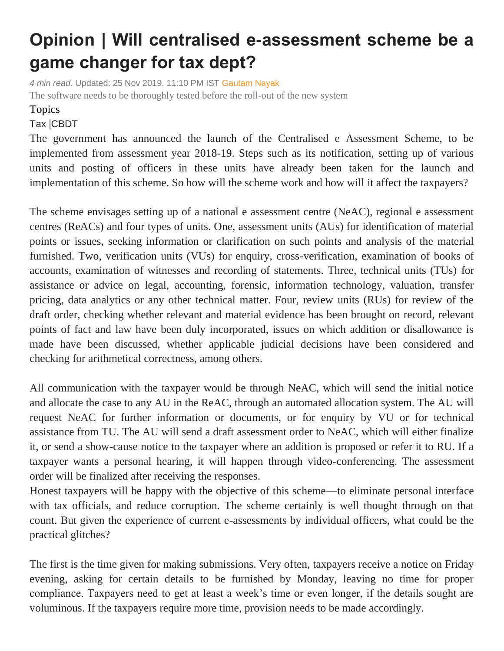## **Opinion | Will centralised e-assessment scheme be a game changer for tax dept?**

*4 min read*. Updated: 25 Nov 2019, 11:10 PM IST [Gautam Nayak](https://www.livemint.com/Search/Link/Author/Gautam%20Nayak) The software needs to be thoroughly tested before the roll-out of the new system

## Topics

## [Tax](https://www.livemint.com/topic/tax) |[CBDT](https://www.livemint.com/topic/cbdt)

The government has announced the launch of the Centralised e Assessment Scheme, to be implemented from assessment year 2018-19. Steps such as its notification, setting up of various units and posting of officers in these units have already been taken for the launch and implementation of this scheme. So how will the scheme work and how will it affect the taxpayers?

The scheme envisages setting up of a national e assessment centre (NeAC), regional e assessment centres (ReACs) and four types of units. One, assessment units (AUs) for identification of material points or issues, seeking information or clarification on such points and analysis of the material furnished. Two, verification units (VUs) for enquiry, cross-verification, examination of books of accounts, examination of witnesses and recording of statements. Three, technical units (TUs) for assistance or advice on legal, accounting, forensic, information technology, valuation, transfer pricing, data analytics or any other technical matter. Four, review units (RUs) for review of the draft order, checking whether relevant and material evidence has been brought on record, relevant points of fact and law have been duly incorporated, issues on which addition or disallowance is made have been discussed, whether applicable judicial decisions have been considered and checking for arithmetical correctness, among others.

All communication with the taxpayer would be through NeAC, which will send the initial notice and allocate the case to any AU in the ReAC, through an automated allocation system. The AU will request NeAC for further information or documents, or for enquiry by VU or for technical assistance from TU. The AU will send a draft assessment order to NeAC, which will either finalize it, or send a show-cause notice to the taxpayer where an addition is proposed or refer it to RU. If a taxpayer wants a personal hearing, it will happen through video-conferencing. The assessment order will be finalized after receiving the responses.

Honest taxpayers will be happy with the objective of this scheme—to eliminate personal interface with tax officials, and reduce corruption. The scheme certainly is well thought through on that count. But given the experience of current e-assessments by individual officers, what could be the practical glitches?

The first is the time given for making submissions. Very often, taxpayers receive a notice on Friday evening, asking for certain details to be furnished by Monday, leaving no time for proper compliance. Taxpayers need to get at least a week's time or even longer, if the details sought are voluminous. If the taxpayers require more time, provision needs to be made accordingly.